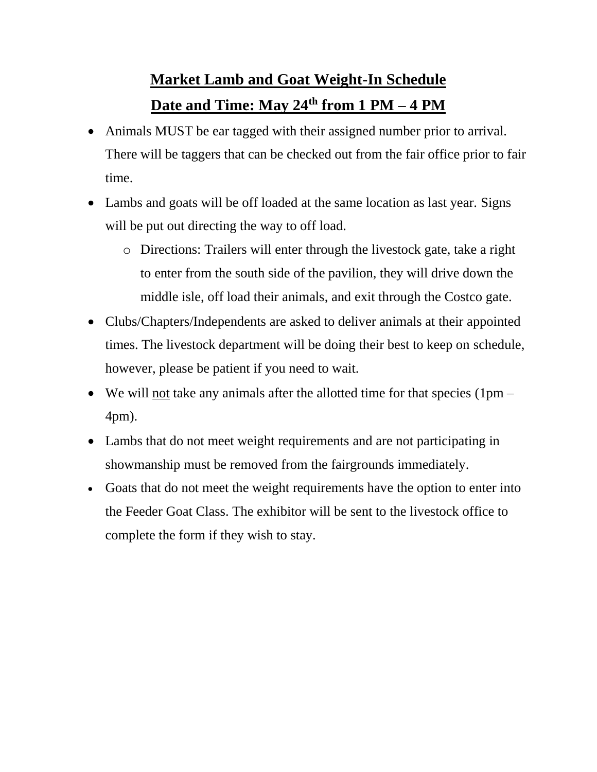## **Market Lamb and Goat Weight-In Schedule Date and Time: May 24th from 1 PM – 4 PM**

- Animals MUST be ear tagged with their assigned number prior to arrival. There will be taggers that can be checked out from the fair office prior to fair time.
- Lambs and goats will be off loaded at the same location as last year. Signs will be put out directing the way to off load.
	- o Directions: Trailers will enter through the livestock gate, take a right to enter from the south side of the pavilion, they will drive down the middle isle, off load their animals, and exit through the Costco gate.
- Clubs/Chapters/Independents are asked to deliver animals at their appointed times. The livestock department will be doing their best to keep on schedule, however, please be patient if you need to wait.
- We will not take any animals after the allotted time for that species  $(1pm -$ 4pm).
- Lambs that do not meet weight requirements and are not participating in showmanship must be removed from the fairgrounds immediately.
- Goats that do not meet the weight requirements have the option to enter into the Feeder Goat Class. The exhibitor will be sent to the livestock office to complete the form if they wish to stay.